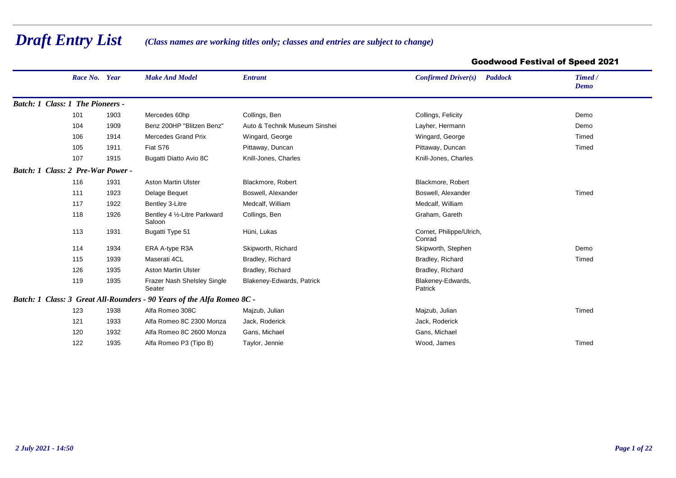## *Draft Entry List*

*(Class names are working titles only; classes and entries are subject to change)*

## Goodwood Festival of Speed 2021

| Race No. Year                     |      | <b>Make And Model</b>                                                  | <b>Entrant</b>                | Confirmed Driver(s)<br><b>Paddock</b> | Timed /<br>Demo |
|-----------------------------------|------|------------------------------------------------------------------------|-------------------------------|---------------------------------------|-----------------|
| Batch: 1 Class: 1 The Pioneers -  |      |                                                                        |                               |                                       |                 |
| 101                               | 1903 | Mercedes 60hp                                                          | Collings, Ben                 | Collings, Felicity                    | Demo            |
| 104                               | 1909 | Benz 200HP "Blitzen Benz"                                              | Auto & Technik Museum Sinshei | Layher, Hermann                       | Demo            |
| 106                               | 1914 | <b>Mercedes Grand Prix</b>                                             | Wingard, George               | Wingard, George                       | Timed           |
| 105                               | 1911 | Fiat S76                                                               | Pittaway, Duncan              | Pittaway, Duncan                      | Timed           |
| 107                               | 1915 | Bugatti Diatto Avio 8C                                                 | Knill-Jones, Charles          | Knill-Jones, Charles                  |                 |
| Batch: 1 Class: 2 Pre-War Power - |      |                                                                        |                               |                                       |                 |
| 116                               | 1931 | <b>Aston Martin Ulster</b>                                             | Blackmore, Robert             | Blackmore, Robert                     |                 |
| 111                               | 1923 | Delage Bequet                                                          | Boswell, Alexander            | Boswell, Alexander                    | Timed           |
| 117                               | 1922 | Bentley 3-Litre                                                        | Medcalf, William              | Medcalf, William                      |                 |
| 118                               | 1926 | Bentley 4 1/2-Litre Parkward<br>Saloon                                 | Collings, Ben                 | Graham, Gareth                        |                 |
| 113                               | 1931 | Bugatti Type 51                                                        | Hüni, Lukas                   | Cornet, Philippe/Ulrich,<br>Conrad    |                 |
| 114                               | 1934 | ERA A-type R3A                                                         | Skipworth, Richard            | Skipworth, Stephen                    | Demo            |
| 115                               | 1939 | Maserati 4CL                                                           | Bradley, Richard              | Bradley, Richard                      | Timed           |
| 126                               | 1935 | <b>Aston Martin Ulster</b>                                             | Bradley, Richard              | Bradley, Richard                      |                 |
| 119                               | 1935 | Frazer Nash Shelsley Single<br>Seater                                  | Blakeney-Edwards, Patrick     | Blakeney-Edwards,<br>Patrick          |                 |
|                                   |      | Batch: 1 Class: 3 Great All-Rounders - 90 Years of the Alfa Romeo 8C - |                               |                                       |                 |
| 123                               | 1938 | Alfa Romeo 308C                                                        | Majzub, Julian                | Majzub, Julian                        | Timed           |
| 121                               | 1933 | Alfa Romeo 8C 2300 Monza                                               | Jack, Roderick                | Jack, Roderick                        |                 |
| 120                               | 1932 | Alfa Romeo 8C 2600 Monza                                               | Gans, Michael                 | Gans, Michael                         |                 |
| 122                               | 1935 | Alfa Romeo P3 (Tipo B)                                                 | Taylor, Jennie                | Wood, James                           | Timed           |
|                                   |      |                                                                        |                               |                                       |                 |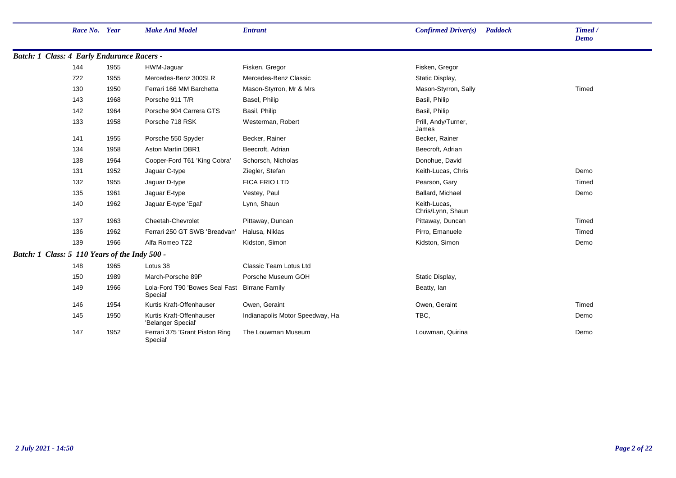|                                                   | Race No. Year |      | <b>Make And Model</b>                                     | <b>Entrant</b>                  | <b>Confirmed Driver(s)</b><br><b>Paddock</b> | Timed /<br>Demo |
|---------------------------------------------------|---------------|------|-----------------------------------------------------------|---------------------------------|----------------------------------------------|-----------------|
| <b>Batch: 1 Class: 4 Early Endurance Racers -</b> |               |      |                                                           |                                 |                                              |                 |
|                                                   | 144           | 1955 | HWM-Jaguar                                                | Fisken, Gregor                  | Fisken, Gregor                               |                 |
|                                                   | 722           | 1955 | Mercedes-Benz 300SLR                                      | Mercedes-Benz Classic           | Static Display,                              |                 |
|                                                   | 130           | 1950 | Ferrari 166 MM Barchetta                                  | Mason-Styrron, Mr & Mrs         | Mason-Styrron, Sally                         | Timed           |
|                                                   | 143           | 1968 | Porsche 911 T/R                                           | Basel, Philip                   | Basil, Philip                                |                 |
|                                                   | 142           | 1964 | Porsche 904 Carrera GTS                                   | Basil, Philip                   | Basil, Philip                                |                 |
|                                                   | 133           | 1958 | Porsche 718 RSK                                           | Westerman, Robert               | Prill, Andy/Turner,<br>James                 |                 |
|                                                   | 141           | 1955 | Porsche 550 Spyder                                        | Becker, Rainer                  | Becker, Rainer                               |                 |
|                                                   | 134           | 1958 | <b>Aston Martin DBR1</b>                                  | Beecroft, Adrian                | Beecroft, Adrian                             |                 |
|                                                   | 138           | 1964 | Cooper-Ford T61 'King Cobra'                              | Schorsch, Nicholas              | Donohue, David                               |                 |
|                                                   | 131           | 1952 | Jaguar C-type                                             | Ziegler, Stefan                 | Keith-Lucas, Chris                           | Demo            |
|                                                   | 132           | 1955 | Jaguar D-type                                             | <b>FICA FRIO LTD</b>            | Pearson, Gary                                | Timed           |
|                                                   | 135           | 1961 | Jaguar E-type                                             | Vestey, Paul                    | Ballard, Michael                             | Demo            |
|                                                   | 140           | 1962 | Jaguar E-type 'Egal'                                      | Lynn, Shaun                     | Keith-Lucas,<br>Chris/Lynn, Shaun            |                 |
|                                                   | 137           | 1963 | Cheetah-Chevrolet                                         | Pittaway, Duncan                | Pittaway, Duncan                             | Timed           |
|                                                   | 136           | 1962 | Ferrari 250 GT SWB 'Breadvan'                             | Halusa, Niklas                  | Pirro, Emanuele                              | Timed           |
|                                                   | 139           | 1966 | Alfa Romeo TZ2                                            | Kidston, Simon                  | Kidston, Simon                               | Demo            |
| Batch: 1 Class: 5 110 Years of the Indy 500 -     |               |      |                                                           |                                 |                                              |                 |
|                                                   | 148           | 1965 | Lotus 38                                                  | Classic Team Lotus Ltd          |                                              |                 |
|                                                   | 150           | 1989 | March-Porsche 89P                                         | Porsche Museum GOH              | Static Display,                              |                 |
|                                                   | 149           | 1966 | Lola-Ford T90 'Bowes Seal Fast Birrane Family<br>Special' |                                 | Beatty, Ian                                  |                 |
|                                                   | 146           | 1954 | Kurtis Kraft-Offenhauser                                  | Owen, Geraint                   | Owen, Geraint                                | Timed           |
|                                                   | 145           | 1950 | Kurtis Kraft-Offenhauser<br>'Belanger Special'            | Indianapolis Motor Speedway, Ha | TBC,                                         | Demo            |
|                                                   | 147           | 1952 | Ferrari 375 'Grant Piston Ring<br>Special <sup>®</sup>    | The Louwman Museum              | Louwman, Quirina                             | Demo            |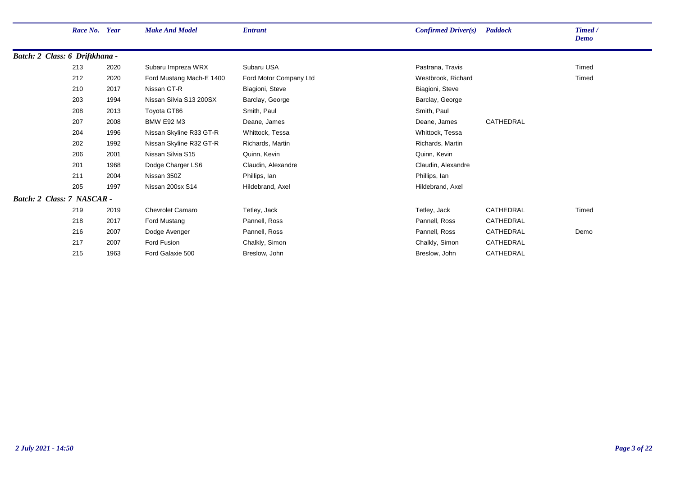| Race No. Year                  |      | <b>Make And Model</b>    | <b>Entrant</b>         | Confirmed Driver(s) | <b>Paddock</b> | Timed /     |
|--------------------------------|------|--------------------------|------------------------|---------------------|----------------|-------------|
|                                |      |                          |                        |                     |                | <b>Demo</b> |
| Batch: 2 Class: 6 Driftkhana - |      |                          |                        |                     |                |             |
| 213                            | 2020 | Subaru Impreza WRX       | Subaru USA             | Pastrana, Travis    |                | Timed       |
| 212                            | 2020 | Ford Mustang Mach-E 1400 | Ford Motor Company Ltd | Westbrook, Richard  |                | Timed       |
| 210                            | 2017 | Nissan GT-R              | Biagioni, Steve        | Biagioni, Steve     |                |             |
| 203                            | 1994 | Nissan Silvia S13 200SX  | Barclay, George        | Barclay, George     |                |             |
| 208                            | 2013 | Toyota GT86              | Smith, Paul            | Smith, Paul         |                |             |
| 207                            | 2008 | <b>BMW E92 M3</b>        | Deane, James           | Deane, James        | CATHEDRAL      |             |
| 204                            | 1996 | Nissan Skyline R33 GT-R  | Whittock, Tessa        | Whittock, Tessa     |                |             |
| 202                            | 1992 | Nissan Skyline R32 GT-R  | Richards, Martin       | Richards, Martin    |                |             |
| 206                            | 2001 | Nissan Silvia S15        | Quinn, Kevin           | Quinn, Kevin        |                |             |
| 201                            | 1968 | Dodge Charger LS6        | Claudin, Alexandre     | Claudin, Alexandre  |                |             |
| 211                            | 2004 | Nissan 350Z              | Phillips, Ian          | Phillips, Ian       |                |             |
| 205                            | 1997 | Nissan 200sx S14         | Hildebrand, Axel       | Hildebrand, Axel    |                |             |
| Batch: 2 Class: 7 NASCAR -     |      |                          |                        |                     |                |             |
| 219                            | 2019 | <b>Chevrolet Camaro</b>  | Tetley, Jack           | Tetley, Jack        | CATHEDRAL      | Timed       |
| 218                            | 2017 | Ford Mustang             | Pannell, Ross          | Pannell, Ross       | CATHEDRAL      |             |
| 216                            | 2007 | Dodge Avenger            | Pannell, Ross          | Pannell, Ross       | CATHEDRAL      | Demo        |
| 217                            | 2007 | Ford Fusion              | Chalkly, Simon         | Chalkly, Simon      | CATHEDRAL      |             |
| 215                            | 1963 | Ford Galaxie 500         | Breslow, John          | Breslow, John       | CATHEDRAL      |             |
|                                |      |                          |                        |                     |                |             |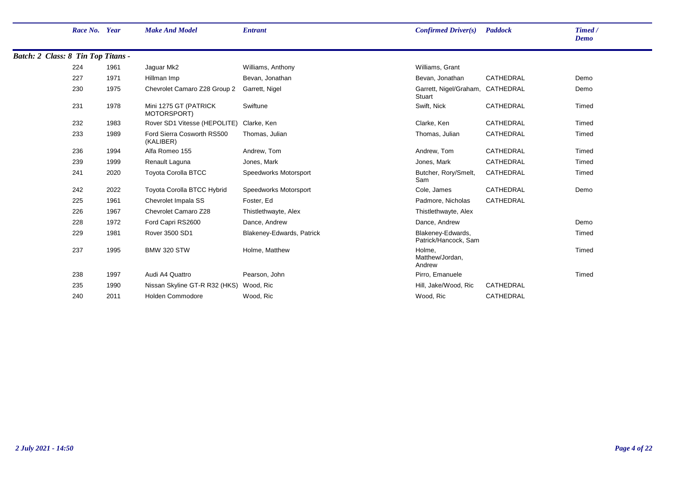|                                    | Race No. Year |      | <b>Make And Model</b>                   | <b>Entrant</b>            | Confirmed Driver(s)                        | <b>Paddock</b> | Timed /<br><b>Demo</b> |
|------------------------------------|---------------|------|-----------------------------------------|---------------------------|--------------------------------------------|----------------|------------------------|
| Batch: 2 Class: 8 Tin Top Titans - |               |      |                                         |                           |                                            |                |                        |
|                                    | 224           | 1961 | Jaguar Mk2                              | Williams, Anthony         | Williams, Grant                            |                |                        |
|                                    | 227           | 1971 | Hillman Imp                             | Bevan, Jonathan           | Bevan, Jonathan                            | CATHEDRAL      | Demo                   |
|                                    | 230           | 1975 | Chevrolet Camaro Z28 Group 2            | Garrett, Nigel            | Garrett, Nigel/Graham, CATHEDRAL<br>Stuart |                | Demo                   |
|                                    | 231           | 1978 | Mini 1275 GT (PATRICK<br>MOTORSPORT)    | Swiftune                  | Swift, Nick                                | CATHEDRAL      | Timed                  |
|                                    | 232           | 1983 | Rover SD1 Vitesse (HEPOLITE)            | Clarke, Ken               | Clarke, Ken                                | CATHEDRAL      | Timed                  |
|                                    | 233           | 1989 | Ford Sierra Cosworth RS500<br>(KALIBER) | Thomas, Julian            | Thomas, Julian                             | CATHEDRAL      | Timed                  |
|                                    | 236           | 1994 | Alfa Romeo 155                          | Andrew, Tom               | Andrew, Tom                                | CATHEDRAL      | Timed                  |
|                                    | 239           | 1999 | Renault Laguna                          | Jones, Mark               | Jones, Mark                                | CATHEDRAL      | Timed                  |
|                                    | 241           | 2020 | <b>Toyota Corolla BTCC</b>              | Speedworks Motorsport     | Butcher, Rory/Smelt,<br>Sam                | CATHEDRAL      | Timed                  |
|                                    | 242           | 2022 | Toyota Corolla BTCC Hybrid              | Speedworks Motorsport     | Cole, James                                | CATHEDRAL      | Demo                   |
|                                    | 225           | 1961 | Chevrolet Impala SS                     | Foster, Ed                | Padmore, Nicholas                          | CATHEDRAL      |                        |
|                                    | 226           | 1967 | Chevrolet Camaro Z28                    | Thistlethwayte, Alex      | Thistlethwayte, Alex                       |                |                        |
|                                    | 228           | 1972 | Ford Capri RS2600                       | Dance, Andrew             | Dance, Andrew                              |                | Demo                   |
|                                    | 229           | 1981 | Rover 3500 SD1                          | Blakeney-Edwards, Patrick | Blakeney-Edwards,<br>Patrick/Hancock, Sam  |                | Timed                  |
|                                    | 237           | 1995 | <b>BMW 320 STW</b>                      | Holme, Matthew            | Holme.<br>Matthew/Jordan,<br>Andrew        |                | Timed                  |
|                                    | 238           | 1997 | Audi A4 Quattro                         | Pearson, John             | Pirro, Emanuele                            |                | Timed                  |
|                                    | 235           | 1990 | Nissan Skyline GT-R R32 (HKS)           | Wood, Ric                 | Hill, Jake/Wood, Ric                       | CATHEDRAL      |                        |
|                                    | 240           | 2011 | <b>Holden Commodore</b>                 | Wood, Ric                 | Wood, Ric                                  | CATHEDRAL      |                        |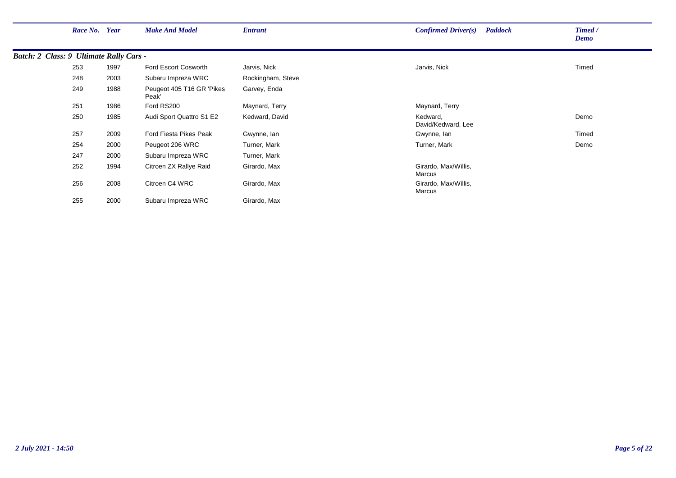|                                         | Race No. | Year | <b>Make And Model</b>              | <b>Entrant</b>    | <b>Paddock</b><br>Confirmed Driver(s) | Timed /<br>Demo |
|-----------------------------------------|----------|------|------------------------------------|-------------------|---------------------------------------|-----------------|
| Batch: 2 Class: 9 Ultimate Rally Cars - |          |      |                                    |                   |                                       |                 |
|                                         | 253      | 1997 | Ford Escort Cosworth               | Jarvis, Nick      | Jarvis, Nick                          | Timed           |
|                                         | 248      | 2003 | Subaru Impreza WRC                 | Rockingham, Steve |                                       |                 |
|                                         | 249      | 1988 | Peugeot 405 T16 GR 'Pikes<br>Peak' | Garvey, Enda      |                                       |                 |
|                                         | 251      | 1986 | Ford RS200                         | Maynard, Terry    | Maynard, Terry                        |                 |
|                                         | 250      | 1985 | Audi Sport Quattro S1 E2           | Kedward, David    | Kedward,<br>David/Kedward, Lee        | Demo            |
|                                         | 257      | 2009 | Ford Fiesta Pikes Peak             | Gwynne, Ian       | Gwynne, Ian                           | Timed           |
|                                         | 254      | 2000 | Peugeot 206 WRC                    | Turner, Mark      | Turner, Mark                          | Demo            |
|                                         | 247      | 2000 | Subaru Impreza WRC                 | Turner, Mark      |                                       |                 |
|                                         | 252      | 1994 | Citroen ZX Rallye Raid             | Girardo, Max      | Girardo, Max/Willis,<br>Marcus        |                 |
|                                         | 256      | 2008 | Citroen C4 WRC                     | Girardo, Max      | Girardo, Max/Willis,<br>Marcus        |                 |
|                                         | 255      | 2000 | Subaru Impreza WRC                 | Girardo, Max      |                                       |                 |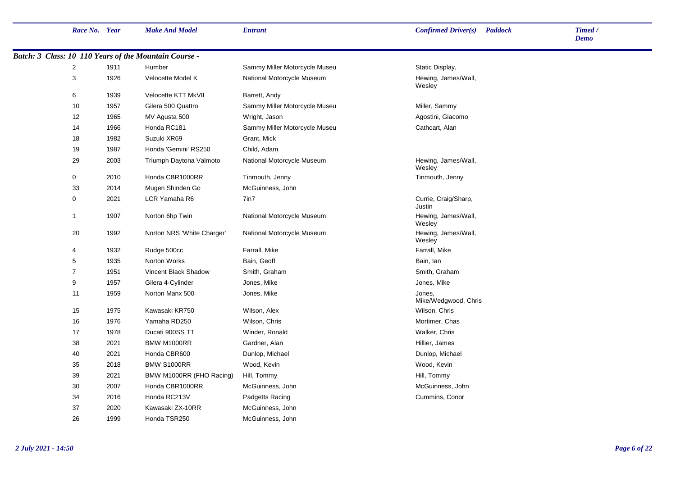| Race No. Year  |      | <b>Make And Model</b>                                 | <b>Entrant</b>                | <b>Confirmed Driver(s)</b>     | <b>Paddock</b> | Timed /<br>Demo |
|----------------|------|-------------------------------------------------------|-------------------------------|--------------------------------|----------------|-----------------|
|                |      | Batch: 3 Class: 10 110 Years of the Mountain Course - |                               |                                |                |                 |
| $\overline{2}$ | 1911 | Humber                                                | Sammy Miller Motorcycle Museu | Static Display,                |                |                 |
| $\mathbf{3}$   | 1926 | Velocette Model K                                     | National Motorcycle Museum    | Hewing, James/Wall,<br>Wesley  |                |                 |
| 6              | 1939 | Velocette KTT MkVII                                   | Barrett, Andy                 |                                |                |                 |
| 10             | 1957 | Gilera 500 Quattro                                    | Sammy Miller Motorcycle Museu | Miller, Sammy                  |                |                 |
| 12             | 1965 | MV Agusta 500                                         | Wright, Jason                 | Agostini, Giacomo              |                |                 |
| 14             | 1966 | Honda RC181                                           | Sammy Miller Motorcycle Museu | Cathcart, Alan                 |                |                 |
| 18             | 1982 | Suzuki XR69                                           | Grant, Mick                   |                                |                |                 |
| 19             | 1987 | Honda 'Gemini' RS250                                  | Child, Adam                   |                                |                |                 |
| 29             | 2003 | Triumph Daytona Valmoto                               | National Motorcycle Museum    | Hewing, James/Wall,<br>Wesley  |                |                 |
| $\mathbf 0$    | 2010 | Honda CBR1000RR                                       | Tinmouth, Jenny               | Tinmouth, Jenny                |                |                 |
| 33             | 2014 | Mugen Shinden Go                                      | McGuinness, John              |                                |                |                 |
| $\pmb{0}$      | 2021 | LCR Yamaha R6                                         | 7in7                          | Currie, Craig/Sharp,<br>Justin |                |                 |
| $\mathbf{1}$   | 1907 | Norton 6hp Twin                                       | National Motorcycle Museum    | Hewing, James/Wall,<br>Wesley  |                |                 |
| 20             | 1992 | Norton NRS 'White Charger'                            | National Motorcycle Museum    | Hewing, James/Wall,<br>Wesley  |                |                 |
| $\overline{4}$ | 1932 | Rudge 500cc                                           | Farrall, Mike                 | Farrall, Mike                  |                |                 |
| 5              | 1935 | Norton Works                                          | Bain, Geoff                   | Bain, lan                      |                |                 |
| $\overline{7}$ | 1951 | Vincent Black Shadow                                  | Smith, Graham                 | Smith, Graham                  |                |                 |
| 9              | 1957 | Gilera 4-Cylinder                                     | Jones, Mike                   | Jones, Mike                    |                |                 |
| 11             | 1959 | Norton Manx 500                                       | Jones, Mike                   | Jones,<br>Mike/Wedgwood, Chris |                |                 |
| 15             | 1975 | Kawasaki KR750                                        | Wilson, Alex                  | Wilson, Chris                  |                |                 |
| 16             | 1976 | Yamaha RD250                                          | Wilson, Chris                 | Mortimer, Chas                 |                |                 |
| 17             | 1978 | Ducati 900SS TT                                       | Winder, Ronald                | Walker, Chris                  |                |                 |
| 38             | 2021 | BMW M1000RR                                           | Gardner, Alan                 | Hillier, James                 |                |                 |
| 40             | 2021 | Honda CBR600                                          | Dunlop, Michael               | Dunlop, Michael                |                |                 |
| 35             | 2018 | <b>BMW S1000RR</b>                                    | Wood, Kevin                   | Wood, Kevin                    |                |                 |
| 39             | 2021 | BMW M1000RR (FHO Racing)                              | Hill, Tommy                   | Hill, Tommy                    |                |                 |
| 30             | 2007 | Honda CBR1000RR                                       | McGuinness, John              | McGuinness, John               |                |                 |
| 34             | 2016 | Honda RC213V                                          | Padgetts Racing               | Cummins, Conor                 |                |                 |
| 37             | 2020 | Kawasaki ZX-10RR                                      | McGuinness, John              |                                |                |                 |
| 26             | 1999 | Honda TSR250                                          | McGuinness, John              |                                |                |                 |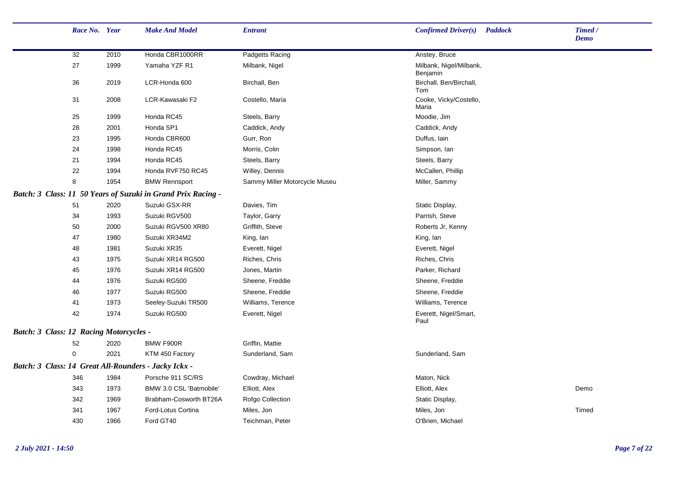|                                                      | Race No. Year |      | <b>Make And Model</b>                                        | <b>Entrant</b>                | Confirmed Driver(s)<br><b>Paddock</b> | Timed /<br><b>Demo</b> |
|------------------------------------------------------|---------------|------|--------------------------------------------------------------|-------------------------------|---------------------------------------|------------------------|
|                                                      | 32            | 2010 | Honda CBR1000RR                                              | Padgetts Racing               | Anstey, Bruce                         |                        |
|                                                      | 27            | 1999 | Yamaha YZF R1                                                | Milbank, Nigel                | Milbank, Nigel/Milbank,<br>Benjamin   |                        |
|                                                      | 36            | 2019 | LCR-Honda 600                                                | Birchall, Ben                 | Birchall, Ben/Birchall,<br>Tom        |                        |
|                                                      | 31            | 2008 | LCR-Kawasaki F2                                              | Costello, Maria               | Cooke, Vicky/Costello,<br>Maria       |                        |
|                                                      | 25            | 1999 | Honda RC45                                                   | Steels, Barry                 | Moodie, Jim                           |                        |
|                                                      | 28            | 2001 | Honda SP1                                                    | Caddick, Andy                 | Caddick, Andy                         |                        |
|                                                      | 23            | 1995 | Honda CBR600                                                 | Gurr, Ron                     | Duffus, lain                          |                        |
|                                                      | 24            | 1998 | Honda RC45                                                   | Morris, Colin                 | Simpson, Ian                          |                        |
|                                                      | 21            | 1994 | Honda RC45                                                   | Steels, Barry                 | Steels, Barry                         |                        |
|                                                      | 22            | 1994 | Honda RVF750 RC45                                            | Willey, Dennis                | McCallen, Phillip                     |                        |
|                                                      | 8             | 1954 | <b>BMW Rennsport</b>                                         | Sammy Miller Motorcycle Museu | Miller, Sammy                         |                        |
|                                                      |               |      | Batch: 3 Class: 11 50 Years of Suzuki in Grand Prix Racing - |                               |                                       |                        |
|                                                      | 51            | 2020 | Suzuki GSX-RR                                                | Davies, Tim                   | Static Display,                       |                        |
|                                                      | 34            | 1993 | Suzuki RGV500                                                | Taylor, Garry                 | Parrish, Steve                        |                        |
|                                                      | 50            | 2000 | Suzuki RGV500 XR80                                           | Griffith, Steve               | Roberts Jr, Kenny                     |                        |
|                                                      | 47            | 1980 | Suzuki XR34M2                                                | King, lan                     | King, lan                             |                        |
|                                                      | 48            | 1981 | Suzuki XR35                                                  | Everett, Nigel                | Everett, Nigel                        |                        |
|                                                      | 43            | 1975 | Suzuki XR14 RG500                                            | Riches, Chris                 | Riches, Chris                         |                        |
|                                                      | 45            | 1976 | Suzuki XR14 RG500                                            | Jones, Martin                 | Parker, Richard                       |                        |
|                                                      | 44            | 1976 | Suzuki RG500                                                 | Sheene, Freddie               | Sheene, Freddie                       |                        |
|                                                      | 46            | 1977 | Suzuki RG500                                                 | Sheene, Freddie               | Sheene, Freddie                       |                        |
|                                                      | 41            | 1973 | Seeley-Suzuki TR500                                          | Williams, Terence             | Williams, Terence                     |                        |
|                                                      | 42            | 1974 | Suzuki RG500                                                 | Everett, Nigel                | Everett, Nigel/Smart,<br>Paul         |                        |
| Batch: 3 Class: 12 Racing Motorcycles -              |               |      |                                                              |                               |                                       |                        |
|                                                      | 52            | 2020 | BMW F900R                                                    | Griffin, Mattie               |                                       |                        |
|                                                      | $\mathbf 0$   | 2021 | KTM 450 Factory                                              | Sunderland, Sam               | Sunderland, Sam                       |                        |
| Batch: 3 Class: 14 Great All-Rounders - Jacky Ickx - |               |      |                                                              |                               |                                       |                        |
|                                                      | 346           | 1984 | Porsche 911 SC/RS                                            | Cowdray, Michael              | Maton, Nick                           |                        |
|                                                      | 343           | 1973 | BMW 3.0 CSL 'Batmobile'                                      | Elliott, Alex                 | Elliott, Alex                         | Demo                   |
|                                                      | 342           | 1969 | Brabham-Cosworth BT26A                                       | Rofgo Collection              | Static Display,                       |                        |
|                                                      | 341           | 1967 | Ford-Lotus Cortina                                           | Miles, Jon                    | Miles, Jon                            | Timed                  |
|                                                      | 430           | 1966 | Ford GT40                                                    | Teichman, Peter               | O'Brien, Michael                      |                        |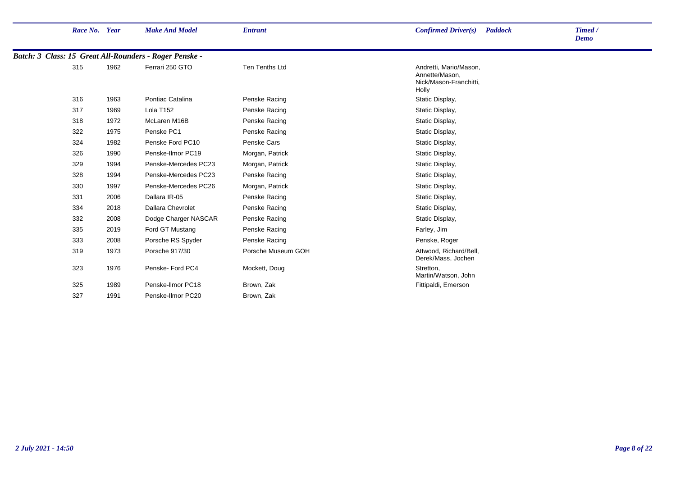| Race No. Year |      | <b>Make And Model</b>                                  | <b>Entrant</b>     | Confirmed Driver(s)<br><b>Paddock</b>                                       | Timed /<br>Demo |
|---------------|------|--------------------------------------------------------|--------------------|-----------------------------------------------------------------------------|-----------------|
|               |      | Batch: 3 Class: 15 Great All-Rounders - Roger Penske - |                    |                                                                             |                 |
| 315           | 1962 | Ferrari 250 GTO                                        | Ten Tenths Ltd     | Andretti, Mario/Mason,<br>Annette/Mason,<br>Nick/Mason-Franchitti,<br>Holly |                 |
| 316           | 1963 | Pontiac Catalina                                       | Penske Racing      | Static Display,                                                             |                 |
| 317           | 1969 | Lola T <sub>152</sub>                                  | Penske Racing      | Static Display,                                                             |                 |
| 318           | 1972 | McLaren M16B                                           | Penske Racing      | Static Display,                                                             |                 |
| 322           | 1975 | Penske PC1                                             | Penske Racing      | Static Display,                                                             |                 |
| 324           | 1982 | Penske Ford PC10                                       | Penske Cars        | Static Display,                                                             |                 |
| 326           | 1990 | Penske-Ilmor PC19                                      | Morgan, Patrick    | Static Display,                                                             |                 |
| 329           | 1994 | Penske-Mercedes PC23                                   | Morgan, Patrick    | Static Display,                                                             |                 |
| 328           | 1994 | Penske-Mercedes PC23                                   | Penske Racing      | Static Display,                                                             |                 |
| 330           | 1997 | Penske-Mercedes PC26                                   | Morgan, Patrick    | Static Display,                                                             |                 |
| 331           | 2006 | Dallara IR-05                                          | Penske Racing      | Static Display,                                                             |                 |
| 334           | 2018 | <b>Dallara Chevrolet</b>                               | Penske Racing      | Static Display,                                                             |                 |
| 332           | 2008 | Dodge Charger NASCAR                                   | Penske Racing      | Static Display,                                                             |                 |
| 335           | 2019 | Ford GT Mustang                                        | Penske Racing      | Farley, Jim                                                                 |                 |
| 333           | 2008 | Porsche RS Spyder                                      | Penske Racing      | Penske, Roger                                                               |                 |
| 319           | 1973 | Porsche 917/30                                         | Porsche Museum GOH | Attwood, Richard/Bell,<br>Derek/Mass, Jochen                                |                 |
| 323           | 1976 | Penske-Ford PC4                                        | Mockett, Doug      | Stretton,<br>Martin/Watson, John                                            |                 |
| 325           | 1989 | Penske-Ilmor PC18                                      | Brown, Zak         | Fittipaldi, Emerson                                                         |                 |
| 327           | 1991 | Penske-Ilmor PC20                                      | Brown, Zak         |                                                                             |                 |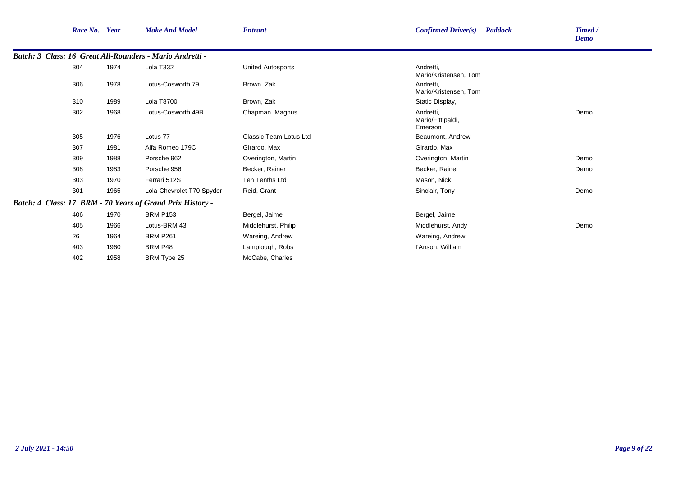| Race No. Year |      | <b>Make And Model</b>                                     | <b>Entrant</b>                | Confirmed Driver(s)<br><b>Paddock</b>     | Timed /<br><b>Demo</b> |
|---------------|------|-----------------------------------------------------------|-------------------------------|-------------------------------------------|------------------------|
|               |      | Batch: 3 Class: 16 Great All-Rounders - Mario Andretti -  |                               |                                           |                        |
| 304           | 1974 | Lola T332                                                 | <b>United Autosports</b>      | Andretti,<br>Mario/Kristensen, Tom        |                        |
| 306           | 1978 | Lotus-Cosworth 79                                         | Brown, Zak                    | Andretti,<br>Mario/Kristensen, Tom        |                        |
| 310           | 1989 | <b>Lola T8700</b>                                         | Brown, Zak                    | Static Display,                           |                        |
| 302           | 1968 | Lotus-Cosworth 49B                                        | Chapman, Magnus               | Andretti,<br>Mario/Fittipaldi,<br>Emerson | Demo                   |
| 305           | 1976 | Lotus 77                                                  | <b>Classic Team Lotus Ltd</b> | Beaumont, Andrew                          |                        |
| 307           | 1981 | Alfa Romeo 179C                                           | Girardo, Max                  | Girardo, Max                              |                        |
| 309           | 1988 | Porsche 962                                               | Overington, Martin            | Overington, Martin                        | Demo                   |
| 308           | 1983 | Porsche 956                                               | Becker, Rainer                | Becker, Rainer                            | Demo                   |
| 303           | 1970 | Ferrari 512S                                              | Ten Tenths Ltd                | Mason, Nick                               |                        |
| 301           | 1965 | Lola-Chevrolet T70 Spyder                                 | Reid, Grant                   | Sinclair, Tony                            | Demo                   |
|               |      | Batch: 4 Class: 17 BRM - 70 Years of Grand Prix History - |                               |                                           |                        |
| 406           | 1970 | <b>BRM P153</b>                                           | Bergel, Jaime                 | Bergel, Jaime                             |                        |
| 405           | 1966 | Lotus-BRM 43                                              | Middlehurst, Philip           | Middlehurst, Andy                         | Demo                   |
| 26            | 1964 | <b>BRM P261</b>                                           | Wareing, Andrew               | Wareing, Andrew                           |                        |
| 403           | 1960 | BRM P48                                                   | Lamplough, Robs               | l'Anson, William                          |                        |
| 402           | 1958 | BRM Type 25                                               | McCabe, Charles               |                                           |                        |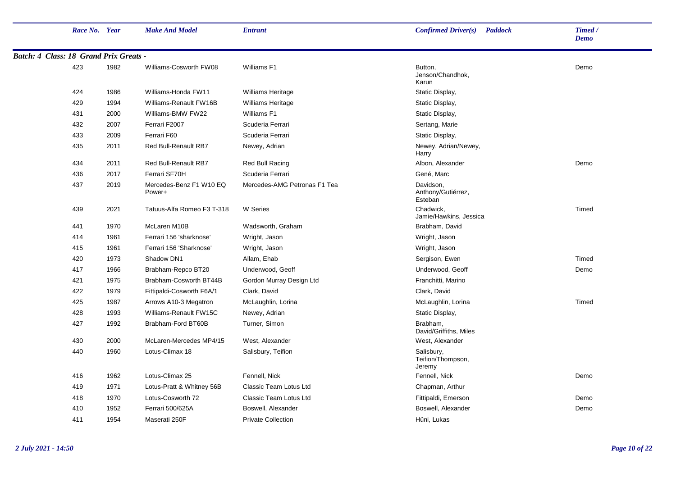|                                        | Race No. Year |      | <b>Make And Model</b>             | <b>Entrant</b>                | Confirmed Driver(s)<br><b>Paddock</b>      | Timed /<br><b>Demo</b> |
|----------------------------------------|---------------|------|-----------------------------------|-------------------------------|--------------------------------------------|------------------------|
| Batch: 4 Class: 18 Grand Prix Greats - |               |      |                                   |                               |                                            |                        |
|                                        | 423           | 1982 | Williams-Cosworth FW08            | Williams F1                   | Button,<br>Jenson/Chandhok,<br>Karun       | Demo                   |
|                                        | 424           | 1986 | Williams-Honda FW11               | <b>Williams Heritage</b>      | Static Display,                            |                        |
|                                        | 429           | 1994 | Williams-Renault FW16B            | <b>Williams Heritage</b>      | Static Display,                            |                        |
|                                        | 431           | 2000 | Williams-BMW FW22                 | Williams F1                   | Static Display,                            |                        |
|                                        | 432           | 2007 | Ferrari F2007                     | Scuderia Ferrari              | Sertang, Marie                             |                        |
|                                        | 433           | 2009 | Ferrari F60                       | Scuderia Ferrari              | Static Display,                            |                        |
|                                        | 435           | 2011 | Red Bull-Renault RB7              | Newey, Adrian                 | Newey, Adrian/Newey,<br>Harry              |                        |
|                                        | 434           | 2011 | <b>Red Bull-Renault RB7</b>       | Red Bull Racing               | Albon, Alexander                           | Demo                   |
|                                        | 436           | 2017 | Ferrari SF70H                     | Scuderia Ferrari              | Gené, Marc                                 |                        |
|                                        | 437           | 2019 | Mercedes-Benz F1 W10 EQ<br>Power+ | Mercedes-AMG Petronas F1 Tea  | Davidson,<br>Anthony/Gutiérrez,<br>Esteban |                        |
|                                        | 439           | 2021 | Tatuus-Alfa Romeo F3 T-318        | W Series                      | Chadwick.<br>Jamie/Hawkins, Jessica        | Timed                  |
|                                        | 441           | 1970 | McLaren M10B                      | Wadsworth, Graham             | Brabham, David                             |                        |
|                                        | 414           | 1961 | Ferrari 156 'sharknose'           | Wright, Jason                 | Wright, Jason                              |                        |
|                                        | 415           | 1961 | Ferrari 156 'Sharknose'           | Wright, Jason                 | Wright, Jason                              |                        |
|                                        | 420           | 1973 | Shadow DN1                        | Allam, Ehab                   | Sergison, Ewen                             | Timed                  |
|                                        | 417           | 1966 | Brabham-Repco BT20                | Underwood, Geoff              | Underwood, Geoff                           | Demo                   |
|                                        | 421           | 1975 | Brabham-Cosworth BT44B            | Gordon Murray Design Ltd      | Franchitti, Marino                         |                        |
|                                        | 422           | 1979 | Fittipaldi-Cosworth F6A/1         | Clark, David                  | Clark, David                               |                        |
|                                        | 425           | 1987 | Arrows A10-3 Megatron             | McLaughlin, Lorina            | McLaughlin, Lorina                         | Timed                  |
|                                        | 428           | 1993 | Williams-Renault FW15C            | Newey, Adrian                 | Static Display,                            |                        |
|                                        | 427           | 1992 | Brabham-Ford BT60B                | Turner, Simon                 | Brabham,<br>David/Griffiths, Miles         |                        |
|                                        | 430           | 2000 | McLaren-Mercedes MP4/15           | West, Alexander               | West, Alexander                            |                        |
|                                        | 440           | 1960 | Lotus-Climax 18                   | Salisbury, Teifion            | Salisbury,<br>Teifion/Thompson,<br>Jeremy  |                        |
|                                        | 416           | 1962 | Lotus-Climax 25                   | Fennell, Nick                 | Fennell, Nick                              | Demo                   |
|                                        | 419           | 1971 | Lotus-Pratt & Whitney 56B         | Classic Team Lotus Ltd        | Chapman, Arthur                            |                        |
|                                        | 418           | 1970 | Lotus-Cosworth 72                 | <b>Classic Team Lotus Ltd</b> | Fittipaldi, Emerson                        | Demo                   |
|                                        | 410           | 1952 | Ferrari 500/625A                  | Boswell, Alexander            | Boswell, Alexander                         | Demo                   |
|                                        | 411           | 1954 | Maserati 250F                     | <b>Private Collection</b>     | Hüni, Lukas                                |                        |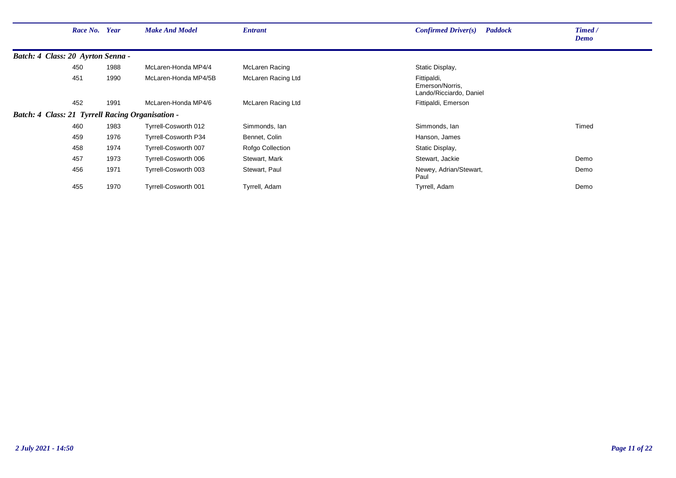|                                                  | Race No. Year |      | <b>Make And Model</b>       | <b>Entrant</b>     | Confirmed Driver(s)<br><b>Paddock</b>                     | Timed /<br>Demo |
|--------------------------------------------------|---------------|------|-----------------------------|--------------------|-----------------------------------------------------------|-----------------|
| Batch: 4 Class: 20 Ayrton Senna -                |               |      |                             |                    |                                                           |                 |
|                                                  | 450           | 1988 | McLaren-Honda MP4/4         | McLaren Racing     | Static Display,                                           |                 |
|                                                  | 451           | 1990 | McLaren-Honda MP4/5B        | McLaren Racing Ltd | Fittipaldi,<br>Emerson/Norris,<br>Lando/Ricciardo, Daniel |                 |
|                                                  | 452           | 1991 | McLaren-Honda MP4/6         | McLaren Racing Ltd | Fittipaldi, Emerson                                       |                 |
| Batch: 4 Class: 21 Tyrrell Racing Organisation - |               |      |                             |                    |                                                           |                 |
|                                                  | 460           | 1983 | Tyrrell-Cosworth 012        | Simmonds, Ian      | Simmonds, lan                                             | Timed           |
|                                                  | 459           | 1976 | <b>Tyrrell-Cosworth P34</b> | Bennet, Colin      | Hanson, James                                             |                 |
|                                                  | 458           | 1974 | Tyrrell-Cosworth 007        | Rofgo Collection   | Static Display,                                           |                 |
|                                                  | 457           | 1973 | Tyrrell-Cosworth 006        | Stewart, Mark      | Stewart, Jackie                                           | Demo            |
|                                                  | 456           | 1971 | Tyrrell-Cosworth 003        | Stewart, Paul      | Newey, Adrian/Stewart,<br>Paul                            | Demo            |
|                                                  | 455           | 1970 | Tyrrell-Cosworth 001        | Tyrrell, Adam      | Tyrrell, Adam                                             | Demo            |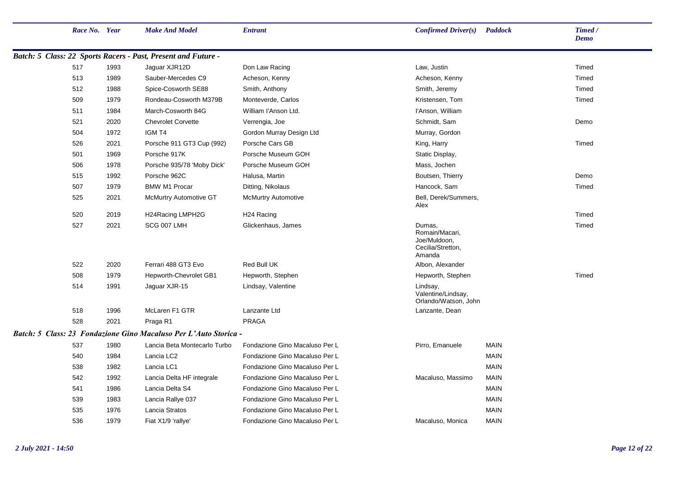|                                    | Race No. Year |      | <b>Make And Model</b>                                         | <b>Entrant</b>                 | Confirmed Driver(s)                                                     | <b>Paddock</b> | Timed /<br><b>Demo</b> |
|------------------------------------|---------------|------|---------------------------------------------------------------|--------------------------------|-------------------------------------------------------------------------|----------------|------------------------|
|                                    |               |      | Batch: 5 Class: 22 Sports Racers - Past, Present and Future - |                                |                                                                         |                |                        |
|                                    | 517           | 1993 | Jaguar XJR12D                                                 | Don Law Racing                 | Law, Justin                                                             |                | Timed                  |
|                                    | 513           | 1989 | Sauber-Mercedes C9                                            | Acheson, Kenny                 | Acheson, Kenny                                                          |                | Timed                  |
|                                    | 512           | 1988 | Spice-Cosworth SE88                                           | Smith, Anthony                 | Smith, Jeremy                                                           |                | Timed                  |
|                                    | 509           | 1979 | Rondeau-Cosworth M379B                                        | Monteverde, Carlos             | Kristensen, Tom                                                         |                | Timed                  |
|                                    | 511           | 1984 | March-Cosworth 84G                                            | William l'Anson Ltd.           | l'Anson, William                                                        |                |                        |
|                                    | 521           | 2020 | <b>Chevrolet Corvette</b>                                     | Verrengia, Joe                 | Schmidt, Sam                                                            |                | Demo                   |
|                                    | 504           | 1972 | IGM T4                                                        | Gordon Murray Design Ltd       | Murray, Gordon                                                          |                |                        |
|                                    | 526           | 2021 | Porsche 911 GT3 Cup (992)                                     | Porsche Cars GB                | King, Harry                                                             |                | Timed                  |
|                                    | 501           | 1969 | Porsche 917K                                                  | Porsche Museum GOH             | Static Display,                                                         |                |                        |
|                                    | 506           | 1978 | Porsche 935/78 'Moby Dick'                                    | Porsche Museum GOH             | Mass, Jochen                                                            |                |                        |
|                                    | 515           | 1992 | Porsche 962C                                                  | Halusa, Martin                 | Boutsen, Thierry                                                        |                | Demo                   |
|                                    | 507           | 1979 | <b>BMW M1 Procar</b>                                          | Ditting, Nikolaus              | Hancock, Sam                                                            |                | Timed                  |
|                                    | 525           | 2021 | <b>McMurtry Automotive GT</b>                                 | <b>McMurtry Automotive</b>     | Bell, Derek/Summers,<br>Alex                                            |                |                        |
|                                    | 520           | 2019 | H24Racing LMPH2G                                              | H <sub>24</sub> Racing         |                                                                         |                | Timed                  |
|                                    | 527           | 2021 | SCG 007 LMH                                                   | Glickenhaus, James             | Dumas,<br>Romain/Macari,<br>Joe/Muldoon,<br>Cecilia/Stretton,<br>Amanda |                | Timed                  |
|                                    | 522           | 2020 | Ferrari 488 GT3 Evo                                           | Red Bull UK                    | Albon, Alexander                                                        |                |                        |
|                                    | 508           | 1979 | Hepworth-Chevrolet GB1                                        | Hepworth, Stephen              | Hepworth, Stephen                                                       |                | Timed                  |
|                                    | 514           | 1991 | Jaguar XJR-15                                                 | Lindsay, Valentine             | Lindsay,<br>Valentine/Lindsay,<br>Orlando/Watson, John                  |                |                        |
|                                    | 518           | 1996 | McLaren F1 GTR                                                | Lanzante Ltd                   | Lanzante, Dean                                                          |                |                        |
|                                    | 528           | 2021 | Praga R1                                                      | PRAGA                          |                                                                         |                |                        |
| Batch: 5 Class: 23 Fondazione Gino |               |      | <b>Macaluso Per L'Auto Storica -</b>                          |                                |                                                                         |                |                        |
|                                    | 537           | 1980 | Lancia Beta Montecarlo Turbo                                  | Fondazione Gino Macaluso Per L | Pirro, Emanuele                                                         | <b>MAIN</b>    |                        |
|                                    | 540           | 1984 | Lancia LC <sub>2</sub>                                        | Fondazione Gino Macaluso Per L |                                                                         | <b>MAIN</b>    |                        |
|                                    | 538           | 1982 | Lancia LC1                                                    | Fondazione Gino Macaluso Per L |                                                                         | <b>MAIN</b>    |                        |
|                                    | 542           | 1992 | Lancia Delta HF integrale                                     | Fondazione Gino Macaluso Per L | Macaluso, Massimo                                                       | <b>MAIN</b>    |                        |
|                                    | 541           | 1986 | Lancia Delta S4                                               | Fondazione Gino Macaluso Per L |                                                                         | <b>MAIN</b>    |                        |
|                                    | 539           | 1983 | Lancia Rallye 037                                             | Fondazione Gino Macaluso Per L |                                                                         | <b>MAIN</b>    |                        |
|                                    | 535           | 1976 | Lancia Stratos                                                | Fondazione Gino Macaluso Per L |                                                                         | <b>MAIN</b>    |                        |
|                                    | 536           | 1979 | Fiat X1/9 'rallye'                                            | Fondazione Gino Macaluso Per L | Macaluso, Monica                                                        | <b>MAIN</b>    |                        |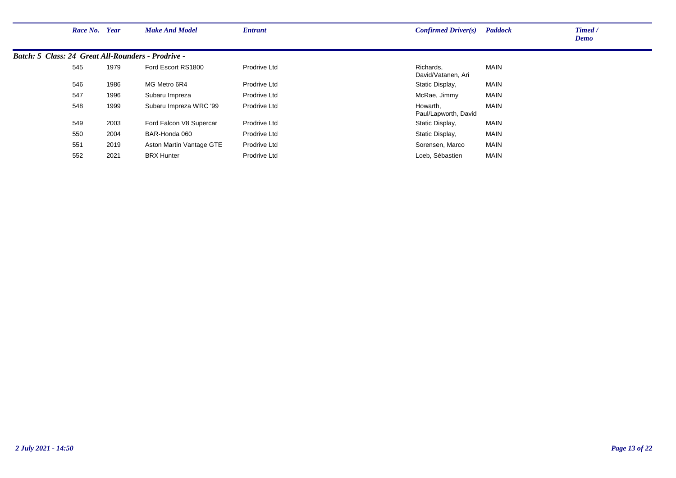| Race No.                                                  | Year | <b>Make And Model</b>    | <b>Entrant</b> | <b>Confirmed Driver(s)</b>       | <b>Paddock</b> | Timed /<br><b>Demo</b> |
|-----------------------------------------------------------|------|--------------------------|----------------|----------------------------------|----------------|------------------------|
| <b>Batch: 5 Class: 24 Great All-Rounders - Prodrive -</b> |      |                          |                |                                  |                |                        |
| 545                                                       | 1979 | Ford Escort RS1800       | Prodrive Ltd   | Richards.<br>David/Vatanen, Ari  | <b>MAIN</b>    |                        |
| 546                                                       | 1986 | MG Metro 6R4             | Prodrive Ltd   | Static Display,                  | MAIN           |                        |
| 547                                                       | 1996 | Subaru Impreza           | Prodrive Ltd   | McRae, Jimmy                     | <b>MAIN</b>    |                        |
| 548                                                       | 1999 | Subaru Impreza WRC '99   | Prodrive Ltd   | Howarth.<br>Paul/Lapworth, David | <b>MAIN</b>    |                        |
| 549                                                       | 2003 | Ford Falcon V8 Supercar  | Prodrive Ltd   | Static Display,                  | MAIN           |                        |
| 550                                                       | 2004 | BAR-Honda 060            | Prodrive Ltd   | Static Display,                  | <b>MAIN</b>    |                        |
| 551                                                       | 2019 | Aston Martin Vantage GTE | Prodrive Ltd   | Sorensen, Marco                  | <b>MAIN</b>    |                        |
| 552                                                       | 2021 | <b>BRX Hunter</b>        | Prodrive Ltd   | Loeb, Sébastien                  | <b>MAIN</b>    |                        |
|                                                           |      |                          |                |                                  |                |                        |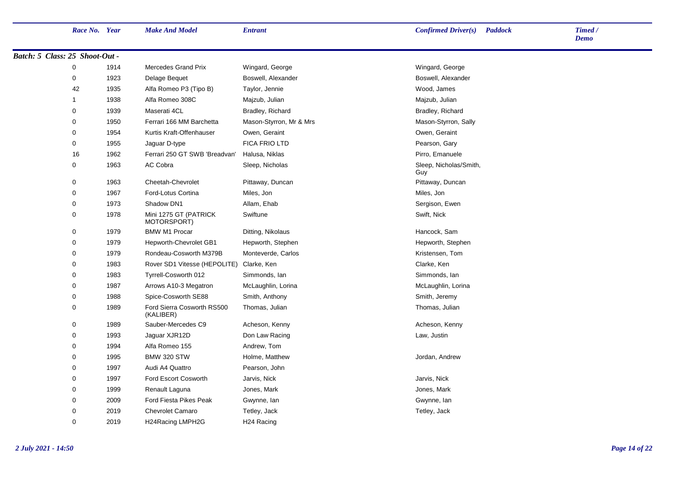| Race No. Year                  |      | <b>Make And Model</b>                   | <b>Entrant</b>          | <b>Confirmed Driver(s)</b> Paddock | Timed /<br><b>Demo</b> |
|--------------------------------|------|-----------------------------------------|-------------------------|------------------------------------|------------------------|
| Batch: 5 Class: 25 Shoot-Out - |      |                                         |                         |                                    |                        |
| 0                              | 1914 | <b>Mercedes Grand Prix</b>              | Wingard, George         | Wingard, George                    |                        |
| 0                              | 1923 | Delage Bequet                           | Boswell, Alexander      | Boswell, Alexander                 |                        |
| 42                             | 1935 | Alfa Romeo P3 (Tipo B)                  | Taylor, Jennie          | Wood, James                        |                        |
| $\mathbf{1}$                   | 1938 | Alfa Romeo 308C                         | Majzub, Julian          | Majzub, Julian                     |                        |
| $\mathbf 0$                    | 1939 | Maserati 4CL                            | Bradley, Richard        | Bradley, Richard                   |                        |
| $\mathbf 0$                    | 1950 | Ferrari 166 MM Barchetta                | Mason-Styrron, Mr & Mrs | Mason-Styrron, Sally               |                        |
| $\mathbf 0$                    | 1954 | Kurtis Kraft-Offenhauser                | Owen, Geraint           | Owen, Geraint                      |                        |
| 0                              | 1955 | Jaguar D-type                           | <b>FICA FRIO LTD</b>    | Pearson, Gary                      |                        |
| 16                             | 1962 | Ferrari 250 GT SWB 'Breadvan'           | Halusa, Niklas          | Pirro, Emanuele                    |                        |
| $\mathbf 0$                    | 1963 | AC Cobra                                | Sleep, Nicholas         | Sleep, Nicholas/Smith,<br>Guy      |                        |
| $\mathbf 0$                    | 1963 | Cheetah-Chevrolet                       | Pittaway, Duncan        | Pittaway, Duncan                   |                        |
| $\mathbf 0$                    | 1967 | Ford-Lotus Cortina                      | Miles, Jon              | Miles, Jon                         |                        |
| $\mathbf 0$                    | 1973 | Shadow DN1                              | Allam, Ehab             | Sergison, Ewen                     |                        |
| $\pmb{0}$                      | 1978 | Mini 1275 GT (PATRICK<br>MOTORSPORT)    | Swiftune                | Swift, Nick                        |                        |
| 0                              | 1979 | <b>BMW M1 Procar</b>                    | Ditting, Nikolaus       | Hancock, Sam                       |                        |
| $\mathbf 0$                    | 1979 | Hepworth-Chevrolet GB1                  | Hepworth, Stephen       | Hepworth, Stephen                  |                        |
| $\pmb{0}$                      | 1979 | Rondeau-Cosworth M379B                  | Monteverde, Carlos      | Kristensen, Tom                    |                        |
| $\mathbf 0$                    | 1983 | Rover SD1 Vitesse (HEPOLITE)            | Clarke, Ken             | Clarke, Ken                        |                        |
| $\mathbf 0$                    | 1983 | Tyrrell-Cosworth 012                    | Simmonds, Ian           | Simmonds, lan                      |                        |
| 0                              | 1987 | Arrows A10-3 Megatron                   | McLaughlin, Lorina      | McLaughlin, Lorina                 |                        |
| $\mathbf 0$                    | 1988 | Spice-Cosworth SE88                     | Smith, Anthony          | Smith, Jeremy                      |                        |
| 0                              | 1989 | Ford Sierra Cosworth RS500<br>(KALIBER) | Thomas, Julian          | Thomas, Julian                     |                        |
| $\mathbf 0$                    | 1989 | Sauber-Mercedes C9                      | Acheson, Kenny          | Acheson, Kenny                     |                        |
| $\mathbf 0$                    | 1993 | Jaguar XJR12D                           | Don Law Racing          | Law, Justin                        |                        |
| 0                              | 1994 | Alfa Romeo 155                          | Andrew, Tom             |                                    |                        |
| 0                              | 1995 | <b>BMW 320 STW</b>                      | Holme, Matthew          | Jordan, Andrew                     |                        |
| $\mathbf 0$                    | 1997 | Audi A4 Quattro                         | Pearson, John           |                                    |                        |
| $\mathbf 0$                    | 1997 | Ford Escort Cosworth                    | Jarvis, Nick            | Jarvis, Nick                       |                        |
| $\mathbf 0$                    | 1999 | Renault Laguna                          | Jones, Mark             | Jones, Mark                        |                        |
| $\mathbf 0$                    | 2009 | <b>Ford Fiesta Pikes Peak</b>           | Gwynne, Ian             | Gwynne, Ian                        |                        |
| $\mathbf 0$                    | 2019 | <b>Chevrolet Camaro</b>                 | Tetley, Jack            | Tetley, Jack                       |                        |
| $\mathbf 0$                    | 2019 | H24Racing LMPH2G                        | H <sub>24</sub> Racing  |                                    |                        |
|                                |      |                                         |                         |                                    |                        |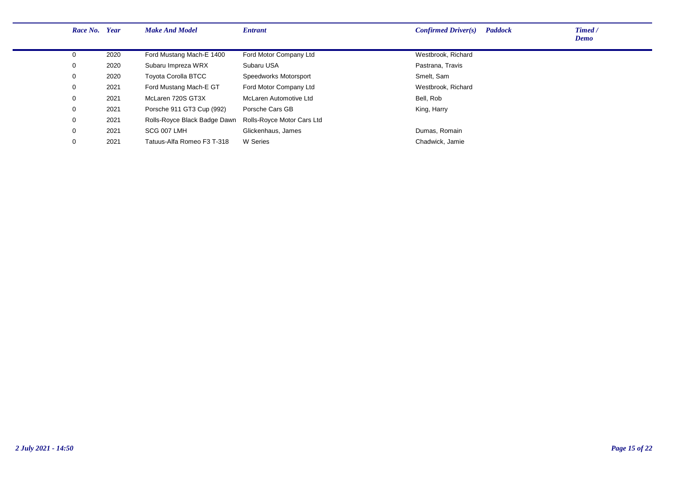| Race No. Year |      | <b>Make And Model</b>        | <b>Entrant</b>             | <b>Paddock</b><br>Confirmed Driver(s) | Timed /<br><b>Demo</b> |
|---------------|------|------------------------------|----------------------------|---------------------------------------|------------------------|
| $\Omega$      | 2020 | Ford Mustang Mach-E 1400     | Ford Motor Company Ltd     | Westbrook, Richard                    |                        |
| 0             | 2020 | Subaru Impreza WRX           | Subaru USA                 | Pastrana, Travis                      |                        |
| 0             | 2020 | <b>Toyota Corolla BTCC</b>   | Speedworks Motorsport      | Smelt, Sam                            |                        |
| 0             | 2021 | Ford Mustang Mach-E GT       | Ford Motor Company Ltd     | Westbrook, Richard                    |                        |
| $\mathbf 0$   | 2021 | McLaren 720S GT3X            | McLaren Automotive Ltd     | Bell, Rob                             |                        |
| 0             | 2021 | Porsche 911 GT3 Cup (992)    | Porsche Cars GB            | King, Harry                           |                        |
| 0             | 2021 | Rolls-Royce Black Badge Dawn | Rolls-Royce Motor Cars Ltd |                                       |                        |
| 0             | 2021 | SCG 007 LMH                  | Glickenhaus, James         | Dumas, Romain                         |                        |
| 0             | 2021 | Tatuus-Alfa Romeo F3 T-318   | W Series                   | Chadwick, Jamie                       |                        |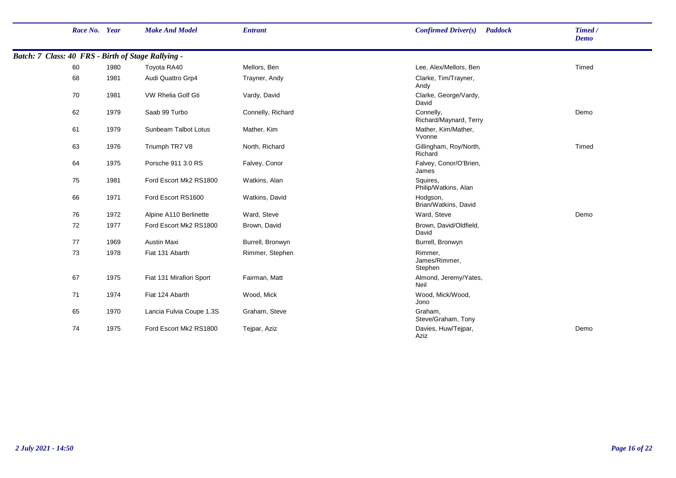| Race No. Year |      | <b>Make And Model</b>                              | <b>Entrant</b>    | <b>Confirmed Driver(s)</b><br><b>Paddock</b> | Timed /<br><b>Demo</b> |
|---------------|------|----------------------------------------------------|-------------------|----------------------------------------------|------------------------|
|               |      | Batch: 7 Class: 40 FRS - Birth of Stage Rallying - |                   |                                              |                        |
| 60            | 1980 | Toyota RA40                                        | Mellors, Ben      | Lee, Alex/Mellors, Ben                       | Timed                  |
| 68            | 1981 | Audi Quattro Grp4                                  | Trayner, Andy     | Clarke, Tim/Trayner,<br>Andy                 |                        |
| 70            | 1981 | VW Rhelia Golf Gti                                 | Vardy, David      | Clarke, George/Vardy,<br>David               |                        |
| 62            | 1979 | Saab 99 Turbo                                      | Connelly, Richard | Connelly,<br>Richard/Maynard, Terry          | Demo                   |
| 61            | 1979 | Sunbeam Talbot Lotus                               | Mather, Kim       | Mather, Kim/Mather,<br>Yvonne                |                        |
| 63            | 1976 | Triumph TR7 V8                                     | North, Richard    | Gillingham, Roy/North,<br>Richard            | Timed                  |
| 64            | 1975 | Porsche 911 3.0 RS                                 | Falvey, Conor     | Falvey, Conor/O'Brien,<br>James              |                        |
| 75            | 1981 | Ford Escort Mk2 RS1800                             | Watkins, Alan     | Squires,<br>Philip/Watkins, Alan             |                        |
| 66            | 1971 | Ford Escort RS1600                                 | Watkins, David    | Hodgson,<br>Brian/Watkins, David             |                        |
| 76            | 1972 | Alpine A110 Berlinette                             | Ward, Steve       | Ward, Steve                                  | Demo                   |
| 72            | 1977 | Ford Escort Mk2 RS1800                             | Brown, David      | Brown, David/Oldfield,<br>David              |                        |
| 77            | 1969 | <b>Austin Maxi</b>                                 | Burrell, Bronwyn  | Burrell, Bronwyn                             |                        |
| 73            | 1978 | Fiat 131 Abarth                                    | Rimmer, Stephen   | Rimmer,<br>James/Rimmer,<br>Stephen          |                        |
| 67            | 1975 | Fiat 131 Mirafiori Sport                           | Fairman, Matt     | Almond, Jeremy/Yates,<br>Neil                |                        |
| 71            | 1974 | Fiat 124 Abarth                                    | Wood, Mick        | Wood, Mick/Wood,<br>Jono                     |                        |
| 65            | 1970 | Lancia Fulvia Coupe 1.3S                           | Graham, Steve     | Graham.<br>Steve/Graham, Tony                |                        |
| 74            | 1975 | Ford Escort Mk2 RS1800                             | Tejpar, Aziz      | Davies, Huw/Tejpar,<br>Aziz                  | Demo                   |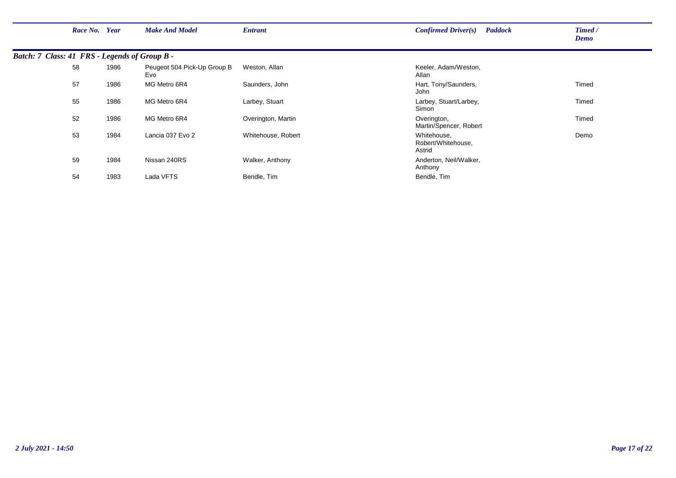| Race No. Year                                 |      | <b>Make And Model</b>              | <b>Entrant</b>     | <b>Paddock</b><br>Confirmed Driver(s)       | Timed /<br>Demo |
|-----------------------------------------------|------|------------------------------------|--------------------|---------------------------------------------|-----------------|
| Batch: 7 Class: 41 FRS - Legends of Group B - |      |                                    |                    |                                             |                 |
| 58                                            | 1986 | Peugeot 504 Pick-Up Group B<br>Evo | Weston, Allan      | Keeler, Adam/Weston,<br>Allan               |                 |
| 57                                            | 1986 | MG Metro 6R4                       | Saunders, John     | Hart, Tony/Saunders,<br>John                | Timed           |
| 55                                            | 1986 | MG Metro 6R4                       | Larbey, Stuart     | Larbey, Stuart/Larbey,<br>Simon             | Timed           |
| 52                                            | 1986 | MG Metro 6R4                       | Overington, Martin | Overington,<br>Martin/Spencer, Robert       | Timed           |
| 53                                            | 1984 | Lancia 037 Evo 2                   | Whitehouse, Robert | Whitehouse.<br>Robert/Whitehouse,<br>Astrid | Demo            |
| 59                                            | 1984 | Nissan 240RS                       | Walker, Anthony    | Anderton, Neil/Walker,<br>Anthony           |                 |
| 54                                            | 1983 | Lada VFTS                          | Bendle, Tim        | Bendle, Tim                                 |                 |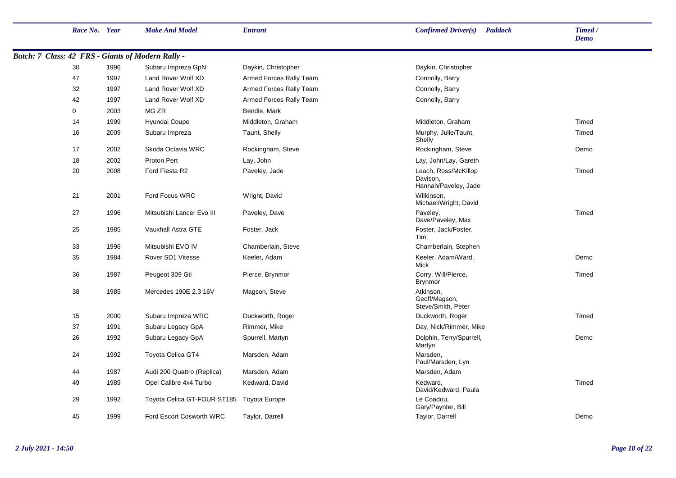|                                                          | Race No. Year |      | <b>Make And Model</b>                     | <b>Entrant</b>          | Confirmed Driver(s)<br><b>Paddock</b>                    | Timed /<br><b>Demo</b> |
|----------------------------------------------------------|---------------|------|-------------------------------------------|-------------------------|----------------------------------------------------------|------------------------|
| <b>Batch: 7 Class: 42 FRS - Giants of Modern Rally -</b> |               |      |                                           |                         |                                                          |                        |
|                                                          | 30            | 1996 | Subaru Impreza GpN                        | Daykin, Christopher     | Daykin, Christopher                                      |                        |
|                                                          | 47            | 1997 | Land Rover Wolf XD                        | Armed Forces Rally Team | Connolly, Barry                                          |                        |
|                                                          | 32            | 1997 | Land Rover Wolf XD                        | Armed Forces Rally Team | Connolly, Barry                                          |                        |
|                                                          | 42            | 1997 | Land Rover Wolf XD                        | Armed Forces Rally Team | Connolly, Barry                                          |                        |
|                                                          | 0             | 2003 | MG ZR                                     | Bendle, Mark            |                                                          |                        |
|                                                          | 14            | 1999 | Hyundai Coupe                             | Middleton, Graham       | Middleton, Graham                                        | Timed                  |
|                                                          | 16            | 2009 | Subaru Impreza                            | Taunt, Shelly           | Murphy, Julie/Taunt,<br>Shelly                           | Timed                  |
|                                                          | 17            | 2002 | Skoda Octavia WRC                         | Rockingham, Steve       | Rockingham, Steve                                        | Demo                   |
|                                                          | 18            | 2002 | Proton Pert                               | Lay, John               | Lay, John/Lay, Gareth                                    |                        |
|                                                          | 20            | 2008 | Ford Fiesta R2                            | Paveley, Jade           | Leach, Ross/McKillop<br>Davison,<br>Hannah/Paveley, Jade | Timed                  |
|                                                          | 21            | 2001 | Ford Focus WRC                            | Wright, David           | Wilkinson,<br>Michael/Wright, David                      |                        |
|                                                          | 27            | 1996 | Mitsubishi Lancer Evo III                 | Paveley, Dave           | Paveley,<br>Dave/Paveley, Max                            | Timed                  |
|                                                          | 25            | 1985 | Vauxhall Astra GTE                        | Foster, Jack            | Foster, Jack/Foster,<br>Tim                              |                        |
|                                                          | 33            | 1996 | Mitsubishi EVO IV                         | Chamberlain, Steve      | Chamberlain, Stephen                                     |                        |
|                                                          | 35            | 1984 | Rover SD1 Vitesse                         | Keeler, Adam            | Keeler, Adam/Ward,<br>Mick                               | Demo                   |
|                                                          | 36            | 1987 | Peugeot 309 Gti                           | Pierce, Brynmor         | Corry, Will/Pierce,<br><b>Brynmor</b>                    | Timed                  |
|                                                          | 38            | 1985 | Mercedes 190E 2.3 16V                     | Magson, Steve           | Atkinson,<br>Geoff/Magson,<br>Steve/Smith, Peter         |                        |
|                                                          | 15            | 2000 | Subaru Impreza WRC                        | Duckworth, Roger        | Duckworth, Roger                                         | Timed                  |
|                                                          | 37            | 1991 | Subaru Legacy GpA                         | Rimmer, Mike            | Day, Nick/Rimmer, Mike                                   |                        |
|                                                          | 26            | 1992 | Subaru Legacy GpA                         | Spurrell, Martyn        | Dolphin, Terry/Spurrell,<br>Martyn                       | Demo                   |
|                                                          | 24            | 1992 | Toyota Celica GT4                         | Marsden, Adam           | Marsden,<br>Paul/Marsden, Lyn                            |                        |
|                                                          | 44            | 1987 | Audi 200 Quattro (Replica)                | Marsden, Adam           | Marsden, Adam                                            |                        |
|                                                          | 49            | 1989 | Opel Calibre 4x4 Turbo                    | Kedward, David          | Kedward,<br>David/Kedward, Paula                         | Timed                  |
|                                                          | 29            | 1992 | Toyota Celica GT-FOUR ST185 Toyota Europe |                         | Le Coadou,<br>Gary/Paynter, Bill                         |                        |
|                                                          | 45            | 1999 | Ford Escort Cosworth WRC                  | Taylor, Darrell         | Taylor, Darrell                                          | Demo                   |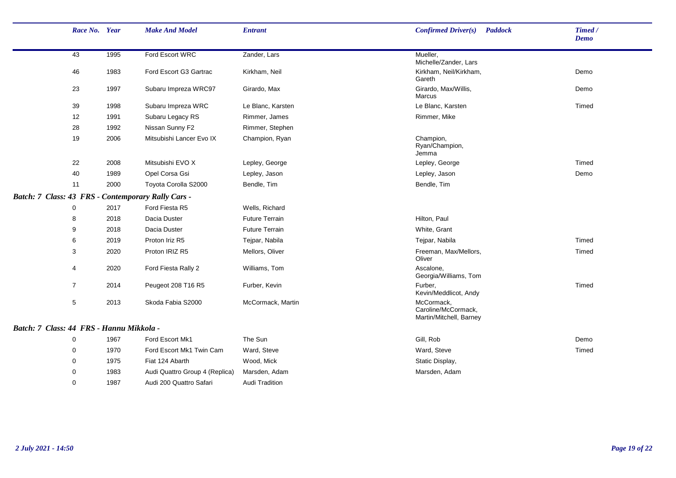| Race No. Year                            |      | <b>Make And Model</b>                              | <b>Entrant</b>        | Confirmed Driver(s)<br><b>Paddock</b>                        | Timed /<br><b>Demo</b> |
|------------------------------------------|------|----------------------------------------------------|-----------------------|--------------------------------------------------------------|------------------------|
| 43                                       | 1995 | Ford Escort WRC                                    | Zander, Lars          | Mueller.<br>Michelle/Zander, Lars                            |                        |
| 46                                       | 1983 | Ford Escort G3 Gartrac                             | Kirkham, Neil         | Kirkham, Neil/Kirkham,<br>Gareth                             | Demo                   |
| 23                                       | 1997 | Subaru Impreza WRC97                               | Girardo, Max          | Girardo, Max/Willis,<br><b>Marcus</b>                        | Demo                   |
| 39                                       | 1998 | Subaru Impreza WRC                                 | Le Blanc, Karsten     | Le Blanc, Karsten                                            | Timed                  |
| 12                                       | 1991 | Subaru Legacy RS                                   | Rimmer, James         | Rimmer, Mike                                                 |                        |
| 28                                       | 1992 | Nissan Sunny F2                                    | Rimmer, Stephen       |                                                              |                        |
| 19                                       | 2006 | Mitsubishi Lancer Evo IX                           | Champion, Ryan        | Champion,<br>Ryan/Champion,<br>Jemma                         |                        |
| 22                                       | 2008 | Mitsubishi EVO X                                   | Lepley, George        | Lepley, George                                               | Timed                  |
| 40                                       | 1989 | Opel Corsa Gsi                                     | Lepley, Jason         | Lepley, Jason                                                | Demo                   |
| 11                                       | 2000 | Toyota Corolla S2000                               | Bendle, Tim           | Bendle, Tim                                                  |                        |
|                                          |      | Batch: 7 Class: 43 FRS - Contemporary Rally Cars - |                       |                                                              |                        |
| 0                                        | 2017 | Ford Fiesta R5                                     | Wells, Richard        |                                                              |                        |
| 8                                        | 2018 | Dacia Duster                                       | <b>Future Terrain</b> | Hilton, Paul                                                 |                        |
| 9                                        | 2018 | Dacia Duster                                       | <b>Future Terrain</b> | White, Grant                                                 |                        |
| 6                                        | 2019 | Proton Iriz R5                                     | Tejpar, Nabila        | Tejpar, Nabila                                               | Timed                  |
| 3                                        | 2020 | Proton IRIZ R5                                     | Mellors, Oliver       | Freeman, Max/Mellors,<br>Oliver                              | Timed                  |
| 4                                        | 2020 | Ford Fiesta Rally 2                                | Williams, Tom         | Ascalone,<br>Georgia/Williams, Tom                           |                        |
| $\overline{7}$                           | 2014 | Peugeot 208 T16 R5                                 | Furber, Kevin         | Furber,<br>Kevin/Meddlicot, Andy                             | Timed                  |
| 5                                        | 2013 | Skoda Fabia S2000                                  | McCormack, Martin     | McCormack,<br>Caroline/McCormack,<br>Martin/Mitchell, Barney |                        |
| Batch: 7 Class: 44 FRS - Hannu Mikkola - |      |                                                    |                       |                                                              |                        |
| 0                                        | 1967 | Ford Escort Mk1                                    | The Sun               | Gill, Rob                                                    | Demo                   |
| 0                                        | 1970 | Ford Escort Mk1 Twin Cam                           | Ward, Steve           | Ward, Steve                                                  | Timed                  |
| 0                                        | 1975 | Fiat 124 Abarth                                    | Wood, Mick            | Static Display,                                              |                        |
| 0                                        | 1983 | Audi Quattro Group 4 (Replica)                     | Marsden, Adam         | Marsden, Adam                                                |                        |
| 0                                        | 1987 | Audi 200 Quattro Safari                            | Audi Tradition        |                                                              |                        |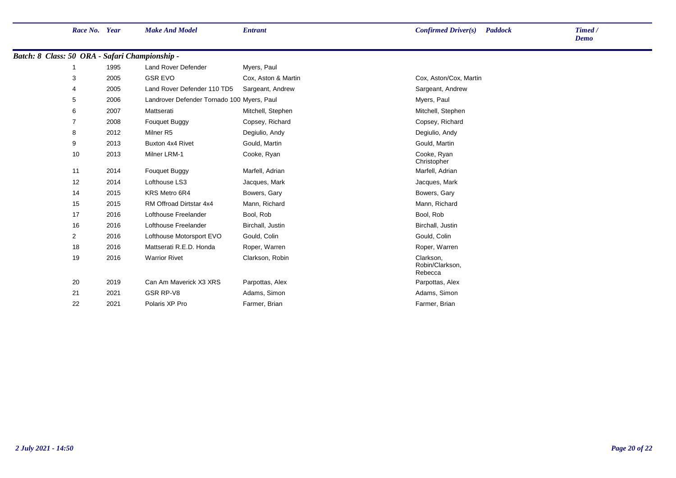| Batch: 8 Class: 50 ORA - Safari Championship - |      |                                            |                     |                                         |
|------------------------------------------------|------|--------------------------------------------|---------------------|-----------------------------------------|
|                                                | 1995 | Land Rover Defender                        | Myers, Paul         |                                         |
| 3                                              | 2005 | <b>GSR EVO</b>                             | Cox. Aston & Martin | Cox, Aston/Cox, Martin                  |
| 4                                              | 2005 | Land Rover Defender 110 TD5                | Sargeant, Andrew    | Sargeant, Andrew                        |
| 5                                              | 2006 | Landrover Defender Tornado 100 Myers, Paul |                     | Myers, Paul                             |
| 6                                              | 2007 | Mattserati                                 | Mitchell, Stephen   | Mitchell, Stephen                       |
| 7                                              | 2008 | Fouquet Buggy                              | Copsey, Richard     | Copsey, Richard                         |
| 8                                              | 2012 | Milner R5                                  | Degiulio, Andy      | Degiulio, Andy                          |
| 9                                              | 2013 | Buxton 4x4 Rivet                           | Gould, Martin       | Gould, Martin                           |
| 10                                             | 2013 | Milner LRM-1                               | Cooke, Ryan         | Cooke, Ryan<br>Christopher              |
| 11                                             | 2014 | Fouquet Buggy                              | Marfell, Adrian     | Marfell, Adrian                         |
| 12                                             | 2014 | Lofthouse LS3                              | Jacques, Mark       | Jacques, Mark                           |
| 14                                             | 2015 | KRS Metro 6R4                              | Bowers, Gary        | Bowers, Gary                            |
| 15                                             | 2015 | RM Offroad Dirtstar 4x4                    | Mann, Richard       | Mann, Richard                           |
| 17                                             | 2016 | Lofthouse Freelander                       | Bool, Rob           | Bool, Rob                               |
| 16                                             | 2016 | Lofthouse Freelander                       | Birchall, Justin    | Birchall, Justin                        |
| $\overline{2}$                                 | 2016 | Lofthouse Motorsport EVO                   | Gould, Colin        | Gould, Colin                            |
| 18                                             | 2016 | Mattserati R.E.D. Honda                    | Roper, Warren       | Roper, Warren                           |
| 19                                             | 2016 | <b>Warrior Rivet</b>                       | Clarkson, Robin     | Clarkson,<br>Robin/Clarkson,<br>Rebecca |
| 20                                             | 2019 | Can Am Maverick X3 XRS                     | Parpottas, Alex     | Parpottas, Alex                         |
| 21                                             | 2021 | GSR RP-V8                                  | Adams, Simon        | Adams, Simon                            |
| 22                                             | 2021 | Polaris XP Pro                             | Farmer, Brian       | Farmer, Brian                           |

*Demo*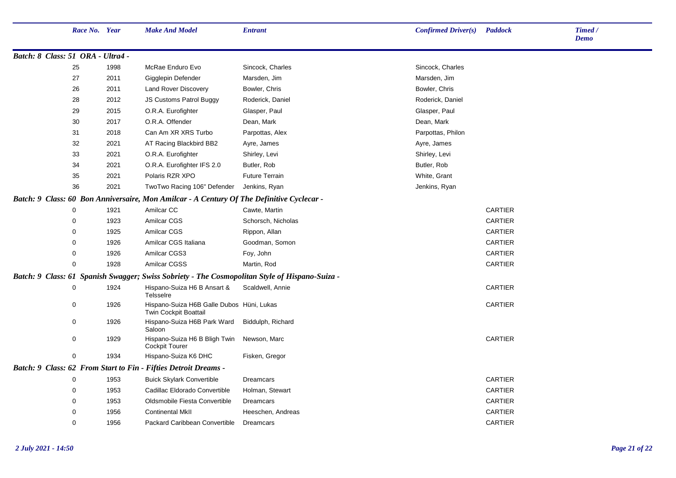|                                     | Race No. Year |      | <b>Make And Model</b>                                                                     | <b>Entrant</b>                                             | <b>Confirmed Driver(s)</b> | <b>Paddock</b> | Timed /<br><b>Demo</b> |
|-------------------------------------|---------------|------|-------------------------------------------------------------------------------------------|------------------------------------------------------------|----------------------------|----------------|------------------------|
| Batch: 8 Class: 51 ORA - Ultra4 -   |               |      |                                                                                           |                                                            |                            |                |                        |
|                                     | 25            | 1998 | McRae Enduro Evo                                                                          | Sincock, Charles                                           | Sincock, Charles           |                |                        |
|                                     | 27            | 2011 | Gigglepin Defender                                                                        | Marsden, Jim                                               | Marsden, Jim               |                |                        |
|                                     | 26            | 2011 | Land Rover Discovery                                                                      | Bowler, Chris                                              | Bowler, Chris              |                |                        |
|                                     | 28            | 2012 | <b>JS Customs Patrol Buggy</b>                                                            | Roderick, Daniel                                           | Roderick, Daniel           |                |                        |
|                                     | 29            | 2015 | O.R.A. Eurofighter                                                                        | Glasper, Paul                                              | Glasper, Paul              |                |                        |
|                                     | 30            | 2017 | O.R.A. Offender                                                                           | Dean, Mark                                                 | Dean, Mark                 |                |                        |
|                                     | 31            | 2018 | Can Am XR XRS Turbo                                                                       | Parpottas, Alex                                            | Parpottas, Philon          |                |                        |
|                                     | 32            | 2021 | AT Racing Blackbird BB2                                                                   | Ayre, James                                                | Ayre, James                |                |                        |
|                                     | 33            | 2021 | O.R.A. Eurofighter                                                                        | Shirley, Levi                                              | Shirley, Levi              |                |                        |
|                                     | 34            | 2021 | O.R.A. Eurofighter IFS 2.0                                                                | Butler, Rob                                                | Butler, Rob                |                |                        |
|                                     | 35            | 2021 | Polaris RZR XPO                                                                           | <b>Future Terrain</b>                                      | White, Grant               |                |                        |
|                                     | 36            | 2021 | TwoTwo Racing 106" Defender                                                               | Jenkins, Ryan                                              | Jenkins, Ryan              |                |                        |
|                                     |               |      | Batch: 9 Class: 60 Bon Anniversaire, Mon Amilcar - A Century Of The Definitive Cyclecar - |                                                            |                            |                |                        |
|                                     | 0             | 1921 | Amilcar CC                                                                                | Cawte, Martin                                              |                            | <b>CARTIER</b> |                        |
|                                     | 0             | 1923 | Amilcar CGS                                                                               | Schorsch, Nicholas                                         |                            | CARTIER        |                        |
|                                     | 0             | 1925 | <b>Amilcar CGS</b>                                                                        | Rippon, Allan                                              |                            | <b>CARTIER</b> |                        |
|                                     | $\mathbf{0}$  | 1926 | Amilcar CGS Italiana                                                                      | Goodman, Somon                                             |                            | CARTIER        |                        |
|                                     | 0             | 1926 | Amilcar CGS3                                                                              | Foy, John                                                  |                            | <b>CARTIER</b> |                        |
|                                     | $\Omega$      | 1928 | Amilcar CGSS                                                                              | Martin, Rod                                                |                            | <b>CARTIER</b> |                        |
| Batch: 9 Class: 61 Spanish Swagger; |               |      |                                                                                           | Swiss Sobriety - The Cosmopolitan Style of Hispano-Suiza - |                            |                |                        |
|                                     | $\mathbf 0$   | 1924 | Hispano-Suiza H6 B Ansart &<br>Telsselre                                                  | Scaldwell, Annie                                           |                            | <b>CARTIER</b> |                        |
|                                     | 0             | 1926 | Hispano-Suiza H6B Galle Dubos Hüni, Lukas<br><b>Twin Cockpit Boattail</b>                 |                                                            |                            | <b>CARTIER</b> |                        |
|                                     | $\mathbf 0$   | 1926 | Hispano-Suiza H6B Park Ward<br>Saloon                                                     | Biddulph, Richard                                          |                            |                |                        |
|                                     | 0             | 1929 | Hispano-Suiza H6 B Bligh Twin<br><b>Cockpit Tourer</b>                                    | Newson, Marc                                               |                            | <b>CARTIER</b> |                        |
|                                     | $\mathbf 0$   | 1934 | Hispano-Suiza K6 DHC                                                                      | Fisken, Gregor                                             |                            |                |                        |
|                                     |               |      | Batch: 9 Class: 62 From Start to Fin - Fifties Detroit Dreams -                           |                                                            |                            |                |                        |
|                                     | 0             | 1953 | <b>Buick Skylark Convertible</b>                                                          | Dreamcars                                                  |                            | <b>CARTIER</b> |                        |
|                                     | $\mathbf 0$   | 1953 | Cadillac Eldorado Convertible                                                             | Holman, Stewart                                            |                            | <b>CARTIER</b> |                        |
|                                     | 0             | 1953 | Oldsmobile Fiesta Convertible                                                             | Dreamcars                                                  |                            | <b>CARTIER</b> |                        |
|                                     | $\mathbf{0}$  | 1956 | <b>Continental MkII</b>                                                                   | Heeschen, Andreas                                          |                            | <b>CARTIER</b> |                        |
|                                     | $\mathbf 0$   | 1956 | Packard Caribbean Convertible                                                             | Dreamcars                                                  |                            | <b>CARTIER</b> |                        |